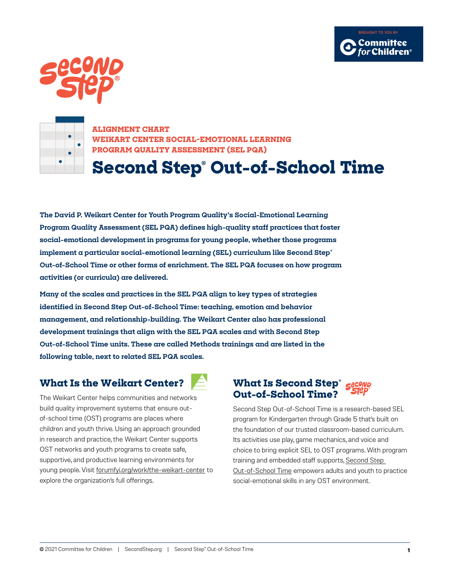





**ALIGNMENT CHART WEIKART CENTER SOCIAL-EMOTIONAL LEARNING PROGRAM QUALITY ASSESSMENT (SEL PQA)**

## **Second Step® Out-of-School Time**

**The David P. Weikart Center for Youth Program Quality's Social-Emotional Learning Program Quality Assessment (SEL PQA) defines high-quality staff practices that foster social-emotional development in programs for young people, whether those programs implement a particular social-emotional learning (SEL) curriculum like Second Step® Out-of-School Time or other forms of enrichment. The SEL PQA focuses on how program activities (or curricula) are delivered.**

**Many of the scales and practices in the SEL PQA align to key types of strategies identified in Second Step Out-of-School Time: teaching, emotion and behavior management, and relationship-building. The Weikart Center also has professional development trainings that align with the SEL PQA scales and with Second Step Out-of-School Time units. These are called Methods trainings and are listed in the following table, next to related SEL PQA scales.** 

## **What Is the Weikart Center?**

The Weikart Center helps communities and networks build quality improvement systems that ensure outof-school time (OST) programs are places where children and youth thrive. Using an approach grounded in research and practice, the Weikart Center supports OST networks and youth programs to create safe, supportive, and productive learning environments for young people. Visit [forumfyi.org/work/the-weikart-center](http://forumfyi.org/work/the-weikart-center/) to explore the organization's full offerings.

## **What Is Second Step® Out-of-School Time?** [®](secondstep.org)

Second Step Out-of-School Time is a research-based SEL program for Kindergarten through Grade 5 that's built on the foundation of our trusted classroom-based curriculum. Its activities use play, game mechanics, and voice and choice to bring explicit SEL to OST programs. With program training and embedded staff supports, Second Step [Out-of-School Time](https://www.secondstep.org/out-of-school-time-program) empowers adults and youth to practice social-emotional skills in any OST environment.